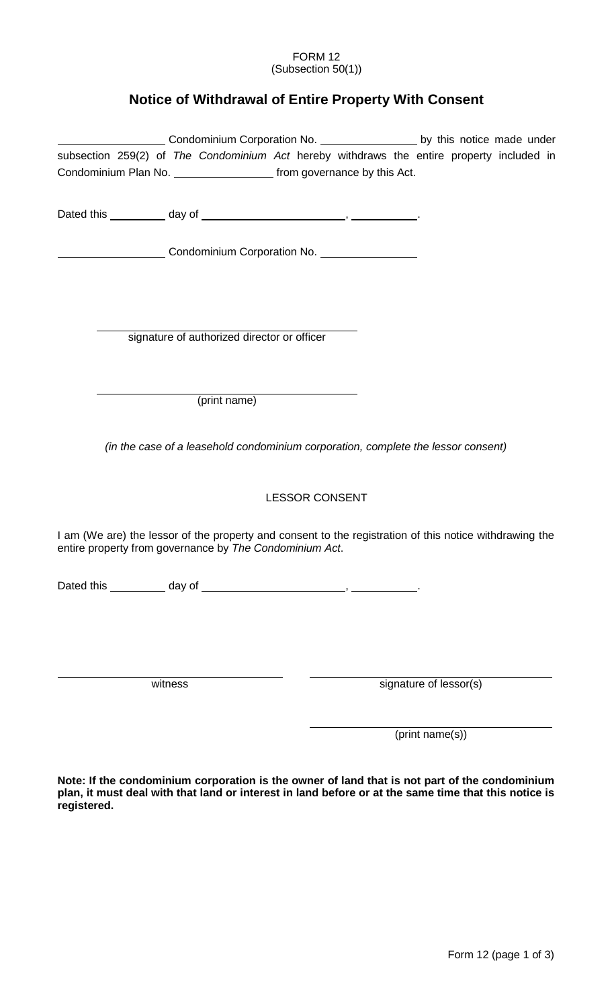## FORM 12 (Subsection 50(1))

## **Notice of Withdrawal of Entire Property With Consent**

|                                                                                                                                                                        |                                                                                   |                       |                        | Condominium Corporation No. _______________________ by this notice made under |
|------------------------------------------------------------------------------------------------------------------------------------------------------------------------|-----------------------------------------------------------------------------------|-----------------------|------------------------|-------------------------------------------------------------------------------|
| subsection 259(2) of The Condominium Act hereby withdraws the entire property included in<br>Condominium Plan No. _______________________ from governance by this Act. |                                                                                   |                       |                        |                                                                               |
|                                                                                                                                                                        |                                                                                   |                       |                        |                                                                               |
| Condominium Corporation No. 1994 1994                                                                                                                                  |                                                                                   |                       |                        |                                                                               |
|                                                                                                                                                                        | signature of authorized director or officer                                       |                       |                        |                                                                               |
|                                                                                                                                                                        |                                                                                   |                       |                        |                                                                               |
|                                                                                                                                                                        | (print name)                                                                      |                       |                        |                                                                               |
|                                                                                                                                                                        | (in the case of a leasehold condominium corporation, complete the lessor consent) |                       |                        |                                                                               |
|                                                                                                                                                                        |                                                                                   | <b>LESSOR CONSENT</b> |                        |                                                                               |
| I am (We are) the lessor of the property and consent to the registration of this notice withdrawing the<br>entire property from governance by The Condominium Act.     |                                                                                   |                       |                        |                                                                               |
|                                                                                                                                                                        |                                                                                   |                       |                        |                                                                               |
|                                                                                                                                                                        |                                                                                   |                       |                        |                                                                               |
| witness                                                                                                                                                                |                                                                                   |                       | signature of lessor(s) |                                                                               |

(print name(s))

**Note: If the condominium corporation is the owner of land that is not part of the condominium plan, it must deal with that land or interest in land before or at the same time that this notice is registered.**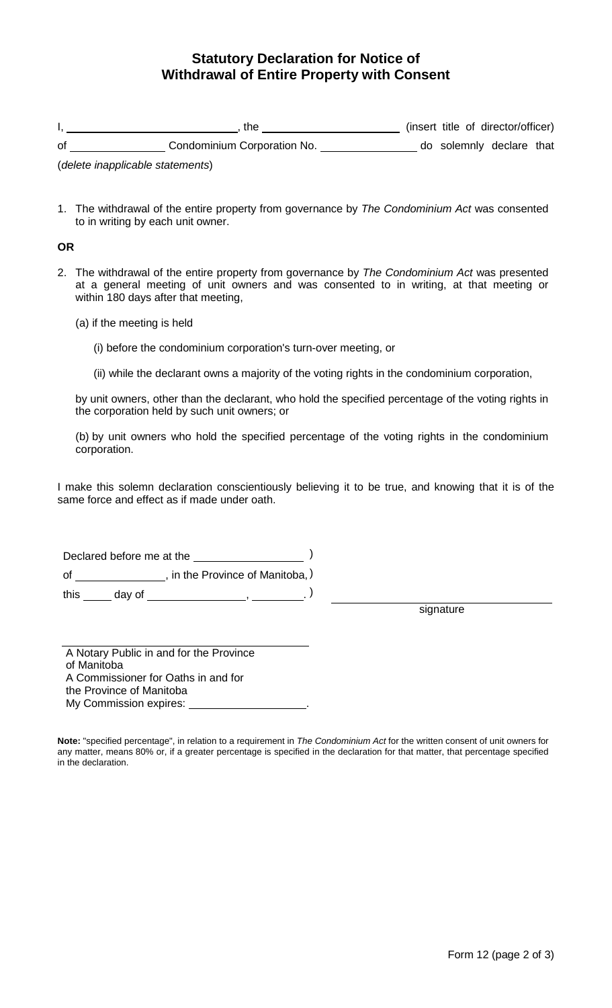## **Statutory Declaration for Notice of Withdrawal of Entire Property with Consent**

|    | the                         |  | (insert title of director/officer) |  |
|----|-----------------------------|--|------------------------------------|--|
| 0f | Condominium Corporation No. |  | do solemnly declare that           |  |

(*delete inapplicable statements*)

1. The withdrawal of the entire property from governance by *The Condominium Act* was consented to in writing by each unit owner.

**OR**

- 2. The withdrawal of the entire property from governance by *The Condominium Act* was presented at a general meeting of unit owners and was consented to in writing, at that meeting or within 180 days after that meeting,
	- (a) if the meeting is held
		- (i) before the condominium corporation's turn-over meeting, or
		- (ii) while the declarant owns a majority of the voting rights in the condominium corporation,

by unit owners, other than the declarant, who hold the specified percentage of the voting rights in the corporation held by such unit owners; or

(b) by unit owners who hold the specified percentage of the voting rights in the condominium corporation.

I make this solemn declaration conscientiously believing it to be true, and knowing that it is of the same force and effect as if made under oath.

Declared before me at the ) of \_\_\_\_\_\_\_\_\_\_\_\_\_\_\_, in the Province of Manitoba, ) this \_\_\_\_\_ day of \_\_\_\_\_\_\_\_\_\_\_\_\_\_\_\_\_\_\_\_\_\_, \_\_\_\_\_\_\_\_\_\_\_. )

signature

A Notary Public in and for the Province of Manitoba A Commissioner for Oaths in and for the Province of Manitoba My Commission expires:

**Note:** "specified percentage", in relation to a requirement in *The Condominium Act* for the written consent of unit owners for any matter, means 80% or, if a greater percentage is specified in the declaration for that matter, that percentage specified in the declaration.